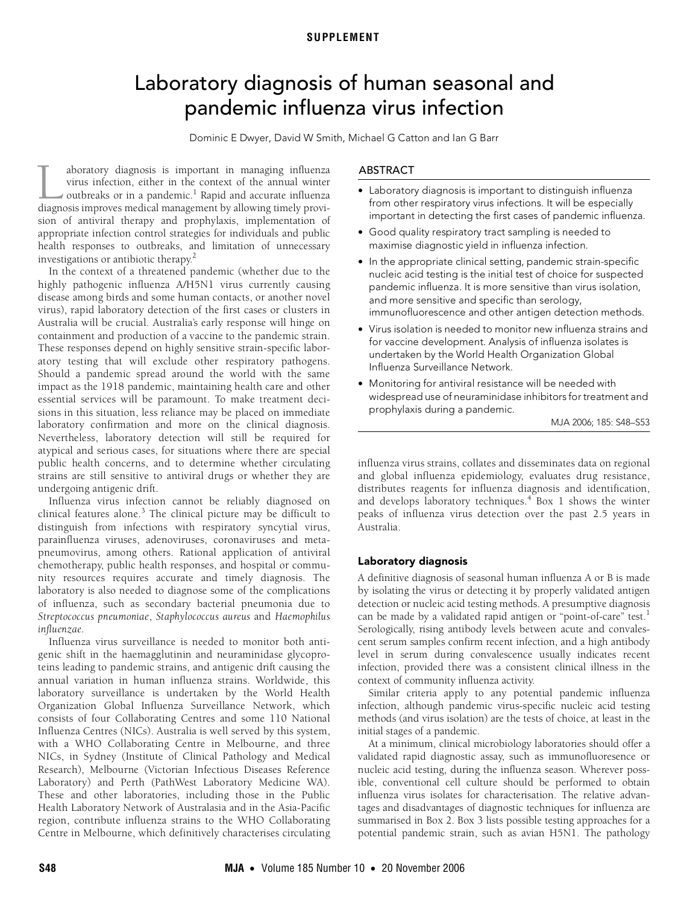# Laboratory diagnosis of human seasonal and pandemic influenza virus infection

Dominic E Dwyer, David W Smith, Michael G Catton and Ian G Barr

<span id="page-0-0"></span>The Medical Discrete Australia Inc. 2020. The Medical Australia Inc. 2020. The Contract of Australia Inc. 2020 aboratory diagnosis is important in managing influenza virus infection, either in the context of the annual winter outbreaks or in a pandemic.<sup>[1](#page-5-0)</sup> Rapid and accurate influenza aboratory diagnosis is important in managing influenza virus infection, either in the context of the annual winter outbreaks or in a pandemic.<sup>1</sup> Rapid and accurate influenza diagnosis improves medical management by allowi sion of antiviral therapy and prophylaxis, implementation of appropriate infection control strategies for individuals and public health responses to outbreaks, and limitation of unnecessary investigations or antibiotic therapy.<sup>2</sup>

In the context of a threatened pa[nd](#page-0-0)[emi](#page-5-4)c (whether due to the highly pathogenic influenza A/H5N1 virus currently causing disease among birds and some human contacts, or another novel virus), rapid laboratory detection of the first cases or clusters in Australia will be crucial. Australia's early response will hinge on containment and production of a vaccine to the pandemic strain. These responses depend on highly sensitive strain-specific laboratory testing that will exclude other respiratory pathogens. Should a pandemic spread around the world with the same impact as the 1918 pandemic, maintaining health care and other essential services will be paramount. To make treatment decisions in this situation, less reliance may be placed on immediate laboratory confirmation and more on the clinical diagnosis. Nevertheless, laboratory detection will still be required for atypical and serious cases, for situations where there are special public health concerns, and to determine whether circulating strains are still sensitive to antiviral drugs or whether they are undergoing antigenic drift.

Influenza virus infection cannot be reliably diagnosed on clinical features alone.<sup>[3](#page-5-2)</sup> The clinical picture may be difficult to distinguish from infections with respiratory syncytial virus, parainfluenza viruses, adenoviruses, coronaviruses and metapneumovirus, among others. Rational application of antiviral chemotherapy, public health responses, and hospital or community resources requires accurate and timely diagnosis. The laboratory is also needed to diagnose some of the complications of influenza, such as secondary bacterial pneumonia due to *Streptococcus pneumoniae*, *Staphylococcus aureus* and *Haemophilus influenzae.*

Influenza virus surveillance is needed to monitor both antigenic shift in the haemagglutinin and neuraminidase glycoproteins leading to pandemic strains, and antigenic drift causing the annual variation in human influenza strains. Worldwide, this laboratory surveillance is undertaken by the World Health Organization Global Influenza Surveillance Network, which consists of four Collaborating Centres and some 110 National Influenza Centres (NICs). Australia is well served by this system, with a WHO Collaborating Centre in Melbourne, and three NICs, in Sydney (Institute of Clinical Pathology and Medical Research), Melbourne (Victorian Infectious Diseases Reference Laboratory) and Perth (PathWest Laboratory Medicine WA). These and other laboratories, including those in the Public Health Laboratory Network of Australasia and in the Asia-Pacific region, contribute influenza strains to the WHO Collaborating Centre in Melbourne, which definitively characterises circulating

# ABSTRACT

- Laboratory diagnosis is important to distinguish influenza from other respiratory virus infections. It will be especially important in detecting the first cases of pandemic influenza.
- Good quality respiratory tract sampling is needed to maximise diagnostic yield in influenza infection.
- In the appropriate clinical setting, pandemic strain-specific nucleic acid testing is the initial test of choice for suspected pandemic influenza. It is more sensitive than virus isolation, and more sensitive and specific than serology, immunofluorescence and other antigen detection methods.
- Virus isolation is needed to monitor new influenza strains and for vaccine development. Analysis of influenza isolates is undertaken by the World Health Organization Global Influenza Surveillance Network.
- Monitoring for antiviral resistance will be needed with widespread use of neuraminidase inhibitors for treatment and prophylaxis during a pandemic.

MJA 2006; 185: S48–S53

influenza virus strains, collates and disseminates data on regional and global influenza epidemiology, evaluates drug resistance, distributes reagents for influenza diagnosis and identification, and develops laboratory techniques.<sup>[4](#page-5-3)</sup> [Box 1](#page-1-0) shows the winter peaks of influenza virus detection over the past 2.5 years in Australia.

# Laboratory diagnosis

A definitive diagnosis of seasonal human influenza A or B is made by isolating the virus or detecting it by properly validated antigen detection or nucleic acid testing methods. A presumptive diagnosis can be made by a validated rapid antigen or "point-of-care" test.<sup>[1](#page-5-0)</sup> Serologically, rising antibody levels between acute and convalescent serum samples confirm recent infection, and a high antibody level in serum during convalescence usually indicates recent infection, provided there was a consistent clinical illness in the context of community influenza activity.

Similar criteria apply to any potential pandemic influenza infection, although pandemic virus-specific nucleic acid testing methods (and virus isolation) are the tests of choice, at least in the initial stages of a pandemic.

At a minimum, clinical microbiology laboratories should offer a validated rapid diagnostic assay, such as immunofluoresence or nucleic acid testing, during the influenza season. Wherever possible, conventional cell culture should be performed to obtain influenza virus isolates for characterisation. The relative advantages and disadvantages of diagnostic techniques for influenza are summarised in [Box 2.](#page-1-1) [Box 3](#page-2-0) lists possible testing approaches for a potential pandemic strain, such as avian H5N1. The pathology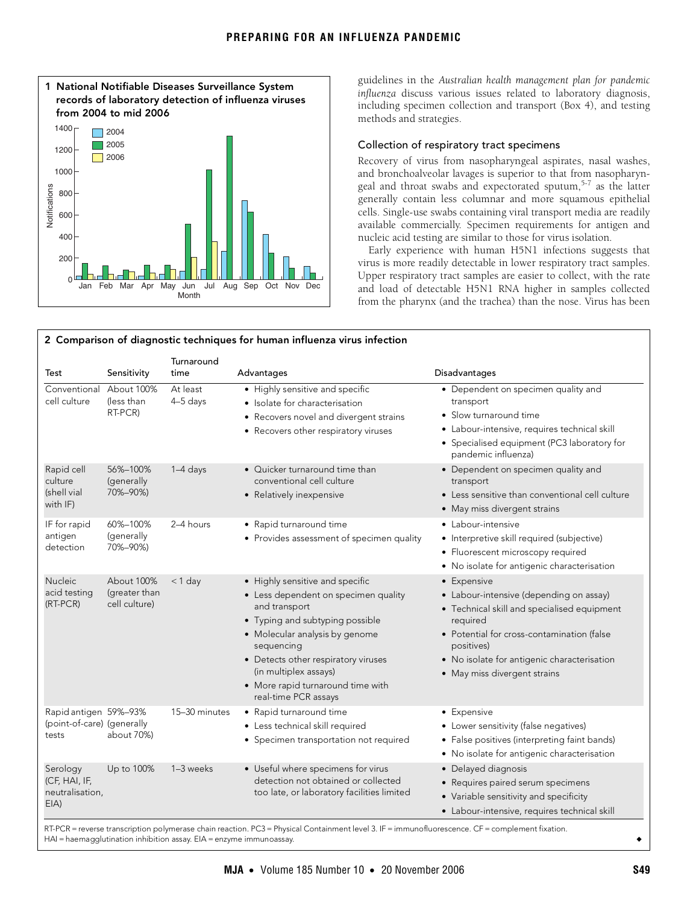<span id="page-1-0"></span>

guidelines in the *Australian health management plan for pandemic influenza* discuss various issues related to laboratory diagnosis, including specimen collection and transport ([Box 4](#page-2-1)), and testing methods and strategies.

## Collection of respiratory tract specimens

Recovery of virus from nasopharyngeal aspirates, nasal washes, and bronchoalveolar lavages is superior to that from nasopharyn-geal and throat swabs and expectorated sputum,<sup>[5-](#page-5-5)[7](#page-5-6)</sup> as the latter generally contain less columnar and more squamous epithelial cells. Single-use swabs containing viral transport media are readily available commercially. Specimen requirements for antigen and nucleic acid testing are similar to those for virus isolation.

Early experience with human H5N1 infections suggests that virus is more readily detectable in lower respiratory tract samples. Upper respiratory tract samples are easier to collect, with the rate and load of detectable H5N1 RNA higher in samples collected from the pharynx (and the trachea) than the nose. Virus has been

<span id="page-1-1"></span>

| 2 Comparison of diagnostic techniques for human influenza virus infection |                                              |                        |                                                                                                                                                                                                                                                                                                          |                                                                                                                                                                                                                                                              |
|---------------------------------------------------------------------------|----------------------------------------------|------------------------|----------------------------------------------------------------------------------------------------------------------------------------------------------------------------------------------------------------------------------------------------------------------------------------------------------|--------------------------------------------------------------------------------------------------------------------------------------------------------------------------------------------------------------------------------------------------------------|
| Test                                                                      | Sensitivity                                  | Turnaround<br>time     | Advantages                                                                                                                                                                                                                                                                                               | Disadvantages                                                                                                                                                                                                                                                |
| Conventional About 100%<br>cell culture                                   | (less than<br>RT-PCR)                        | At least<br>$4-5$ days | • Highly sensitive and specific<br>• Isolate for characterisation<br>• Recovers novel and divergent strains<br>• Recovers other respiratory viruses                                                                                                                                                      | • Dependent on specimen quality and<br>transport<br>• Slow turnaround time<br>• Labour-intensive, requires technical skill<br>• Specialised equipment (PC3 laboratory for<br>pandemic influenza)                                                             |
| Rapid cell<br>culture<br>(shell vial)<br>with IF)                         | 56%-100%<br>(generally<br>70%-90%)           | 1-4 days               | • Quicker turnaround time than<br>conventional cell culture<br>• Relatively inexpensive                                                                                                                                                                                                                  | • Dependent on specimen quality and<br>transport<br>• Less sensitive than conventional cell culture<br>• May miss divergent strains                                                                                                                          |
| IF for rapid<br>antigen<br>detection                                      | 60%-100%<br>(generally<br>70%-90%)           | 2-4 hours              | • Rapid turnaround time<br>• Provides assessment of specimen quality                                                                                                                                                                                                                                     | • Labour-intensive<br>• Interpretive skill required (subjective)<br>• Fluorescent microscopy required<br>• No isolate for antigenic characterisation                                                                                                         |
| <b>Nucleic</b><br>acid testing<br>(RT-PCR)                                | About 100%<br>(greater than<br>cell culture) | $<$ 1 day              | • Highly sensitive and specific<br>• Less dependent on specimen quality<br>and transport<br>• Typing and subtyping possible<br>• Molecular analysis by genome<br>sequencing<br>• Detects other respiratory viruses<br>(in multiplex assays)<br>• More rapid turnaround time with<br>real-time PCR assays | • Expensive<br>• Labour-intensive (depending on assay)<br>• Technical skill and specialised equipment<br>required<br>• Potential for cross-contamination (false<br>positives)<br>• No isolate for antigenic characterisation<br>• May miss divergent strains |
| Rapid antigen 59%-93%<br>(point-of-care) (generally<br>tests              | about 70%)                                   | 15-30 minutes          | • Rapid turnaround time<br>· Less technical skill required<br>• Specimen transportation not required                                                                                                                                                                                                     | • Expensive<br>• Lower sensitivity (false negatives)<br>• False positives (interpreting faint bands)<br>• No isolate for antigenic characterisation                                                                                                          |
| Serology<br>(CF, HAI, IF,<br>neutralisation,<br>$EIA$ )                   | Up to 100%                                   | 1-3 weeks              | • Useful where specimens for virus<br>detection not obtained or collected<br>too late, or laboratory facilities limited                                                                                                                                                                                  | • Delayed diagnosis<br>• Requires paired serum specimens<br>• Variable sensitivity and specificity<br>· Labour-intensive, requires technical skill                                                                                                           |

RT-PCR = reverse transcription polymerase chain reaction. PC3 = Physical Containment level 3. IF = immunofluorescence. CF = complement fixation. HAI = haemagglutination inhibition assay. EIA = enzyme immunoassay. ◆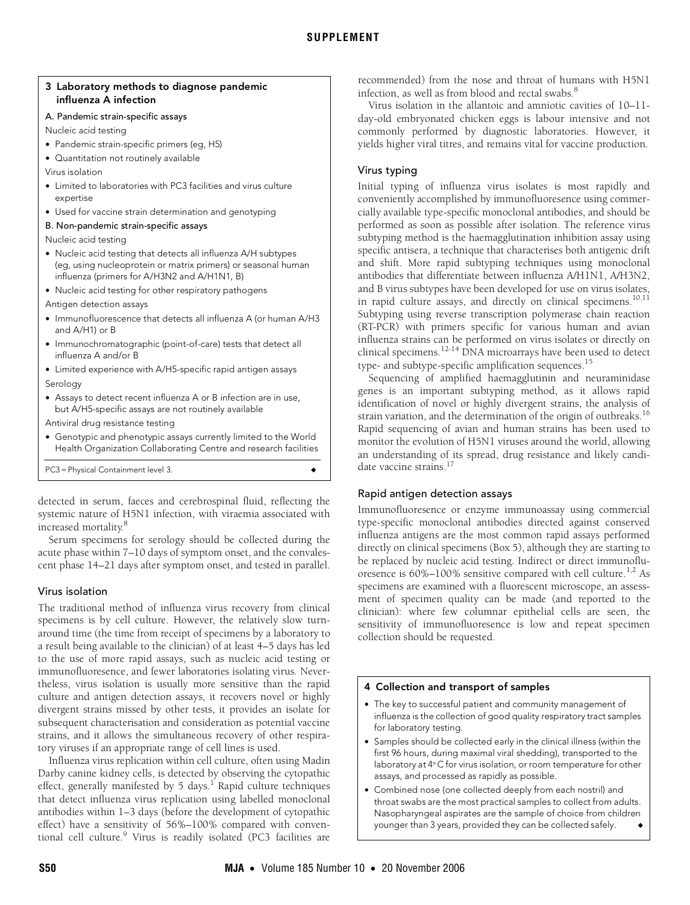## <span id="page-2-0"></span>3 Laboratory methods to diagnose pandemic influenza A infection

### A. Pandemic strain-specific assays

Nucleic acid testing

- Pandemic strain-specific primers (eg, H5)
- Quantitation not routinely available

Virus isolation

- Limited to laboratories with PC3 facilities and virus culture expertise
- Used for vaccine strain determination and genotyping

#### B. Non-pandemic strain-specific assays

Nucleic acid testing

- Nucleic acid testing that detects all influenza A/H subtypes (eg, using nucleoprotein or matrix primers) or seasonal human influenza (primers for A/H3N2 and A/H1N1, B)
- Nucleic acid testing for other respiratory pathogens
- Antigen detection assays
- Immunofluorescence that detects all influenza A (or human A/H3 and A/H1) or B
- Immunochromatographic (point-of-care) tests that detect all influenza A and/or B
- Limited experience with A/H5-specific rapid antigen assays Serology
- Assays to detect recent influenza A or B infection are in use, but A/H5-specific assays are not routinely available

Antiviral drug resistance testing

• Genotypic and phenotypic assays currently limited to the World Health Organization Collaborating Centre and research facilities

PC3 = Physical Containment level 3.

detected in serum, faeces and cerebrospinal fluid, reflecting the systemic nature of H5N1 infection, with viraemia associated with increased mortality.<sup>[8](#page-5-7)</sup>

Serum specimens for serology should be collected during the acute phase within 7–10 days of symptom onset, and the convalescent phase 14–21 days after symptom onset, and tested in parallel.

# Virus isolation

The traditional method of influenza virus recovery from clinical specimens is by cell culture. However, the relatively slow turnaround time (the time from receipt of specimens by a laboratory to a result being available to the clinician) of at least 4–5 days has led to the use of more rapid assays, such as nucleic acid testing or immunofluoresence, and fewer laboratories isolating virus. Nevertheless, virus isolation is usually more sensitive than the rapid culture and antigen detection assays, it recovers novel or highly divergent strains missed by other tests, it provides an isolate for subsequent characterisation and consideration as potential vaccine strains, and it allows the simultaneous recovery of other respiratory viruses if an appropriate range of cell lines is used.

Influenza virus replication within cell culture, often using Madin Darby canine kidney cells, is detected by observing the cytopathic effect, generally manifested by 5 days.<sup>1</sup> Rapid culture techniques that detect influenza virus replication using labelled monoclonal antibodies within 1–3 days (before the development of cytopathic effect) have a sensitivity of 56%–100% compared with conven-tional cell culture.<sup>[9](#page-5-8)</sup> Virus is readily isolated (PC3 facilities are

recommended) from the nose and throat of humans with H5N1 infection, as well as from blood and rectal swabs.<sup>[8](#page-5-7)</sup>

Virus isolation in the allantoic and amniotic cavities of 10–11 day-old embryonated chicken eggs is labour intensive and not commonly performed by diagnostic laboratories. However, it yields higher viral titres, and remains vital for vaccine production.

# Virus typing

Initial typing of influenza virus isolates is most rapidly and conveniently accomplished by immunofluoresence using commercially available type-specific monoclonal antibodies, and should be performed as soon as possible after isolation. The reference virus subtyping method is the haemagglutination inhibition assay using specific antisera, a technique that characterises both antigenic drift and shift. More rapid subtyping techniques using monoclonal antibodies that differentiate between influenza A/H1N1, A/H3N2, and B virus subtypes have been developed for use on virus isolates, in rapid culture assays, and directly on clinical specimens.<sup>[10](#page-5-9)[,11](#page-5-10)</sup> Subtyping using reverse transcription polymerase chain reaction (RT-PCR) with primers specific for various human and avian influenza strains can be performed on virus isolates or directly on clinical specimens.[12](#page-5-11)[-14](#page-5-12) DNA microarrays have been used to detect type- and subtype-specific amplification sequences.<sup>15</sup>

Sequencing of amplified haemagglutinin and neuraminidase genes is an important subtyping method, as it allows rapid identification of novel or highly divergent strains, the analysis of strain variation, and the determination of the origin of outbreaks.<sup>[16](#page-5-14)</sup> Rapid sequencing of avian and human strains has been used to monitor the evolution of H5N1 viruses around the world, allowing an understanding of its spread, drug resistance and likely candidate vaccine strains[.17](#page-5-15)

# Rapid antigen detection assays

Immunofluoresence or enzyme immunoassay using commercial type-specific monoclonal antibodies directed against conserved influenza antigens are the most common rapid assays performed directly on clinical specimens ([Box 5](#page-3-0)), although they are starting to be replaced by nucleic acid testing. Indirect or direct immunofluoresence is  $60\% - 100\%$  sensitive compared with cell culture.<sup>[1,](#page-5-0)2</sup> As specimens are examined with a fluorescent microscope, an assessment of specimen quality can be made (and reported to the clinician): where few columnar epithelial cells are seen, the sensitivity of immunofluoresence is low and repeat specimen collection should be requested.

## <span id="page-2-1"></span>4 Collection and transport of samples

- The key to successful patient and community management of influenza is the collection of good quality respiratory tract samples for laboratory testing.
- Samples should be collected early in the clinical illness (within the first 96 hours, during maximal viral shedding), transported to the laboratory at 4°C for virus isolation, or room temperature for other assays, and processed as rapidly as possible.
- Combined nose (one collected deeply from each nostril) and throat swabs are the most practical samples to collect from adults. Nasopharyngeal aspirates are the sample of choice from children younger than 3 years, provided they can be collected safely.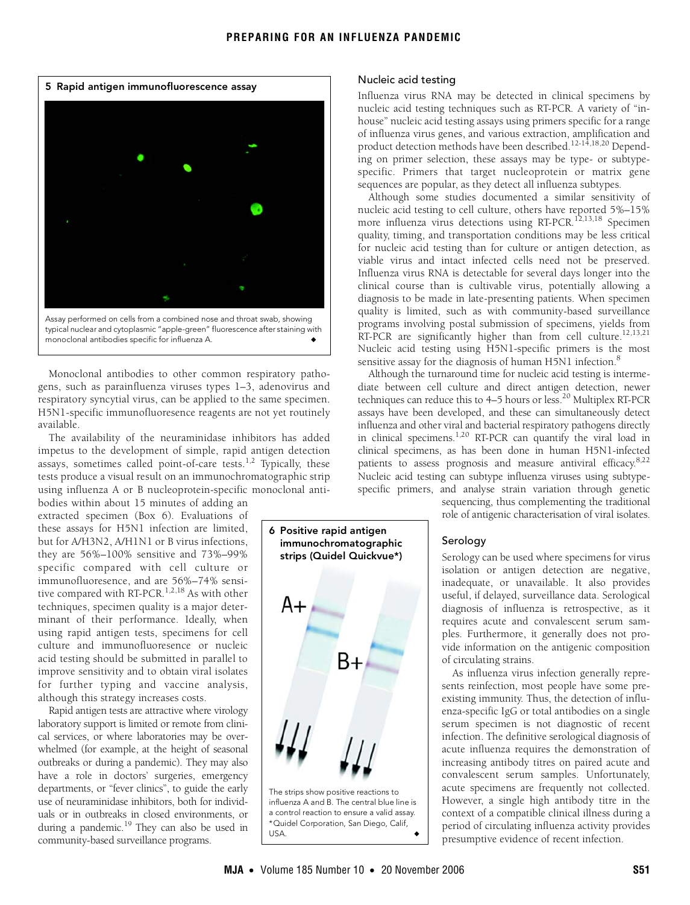<span id="page-3-0"></span>

Monoclonal antibodies to other common respiratory pathogens, such as parainfluenza viruses types 1–3, adenovirus and respiratory syncytial virus, can be applied to the same specimen. H5N1-specific immunofluoresence reagents are not yet routinely available.

The availability of the neuraminidase inhibitors has added impetus to the development of simple, rapid antigen detection assays, sometimes called point-of-care tests.<sup>[1](#page-5-0),[2](#page-5-1)</sup> Typically, these tests produce a visual result on an immunochromatographic strip using influenza A or B nucleoprotein-specific monoclonal anti-

bodies within about 15 minutes of adding an extracted specimen ([Box 6\)](#page-3-1). Evaluations of these assays for H5N1 infection are limited, but for A/H3N2, A/H1N1 or B virus infections, they are 56%–100% sensitive and 73%–99% specific compared with cell culture or immunofluoresence, and are 56%–74% sensi-tive compared with RT-PCR.<sup>[1](#page-5-0)[,2,](#page-5-1)18</sup> As with other techniques, specimen quality is a major determinant of their performance. Ideally, when using rapid antigen tests, specimens for cell culture and immunofluoresence or nucleic acid testing should be submitted in parallel to improve sensitivity and to obtain viral isolates for further typing and vaccine analysis, although this strategy increases costs.

Rapid antigen tests are attractive where virology laboratory support is limited or remote from clinical services, or where laboratories may be overwhelmed (for example, at the height of seasonal outbreaks or during a pandemic). They may also have a role in doctors' surgeries, emergency departments, or "fever clinics", to guide the early use of neuraminidase inhibitors, both for individuals or in outbreaks in closed environments, or during a pandemic.<sup>19</sup> They can also be used in community-based surveillance programs.

## Nucleic acid testing

Influenza virus RNA may be detected in clinical specimens by nucleic acid testing techniques such as RT-PCR. A variety of "inhouse" nucleic acid testing assays using primers specific for a range of influenza virus genes, and various extraction, amplification and product detection methods have been described.<sup>12-[14,](#page-5-12)[18](#page-5-16),20</sup> Depending on primer selection, these assays may be type- or subtypespecific. Primers that target nucleoprotein or matrix gene sequences are popular, as they detect all influenza subtypes.

Although some studies documented a similar sensitivity of nucleic acid testing to cell culture, others have reported 5%–15% more influenza virus detections using RT-PCR.<sup>[12](#page-5-11),[13,](#page-5-19)18</sup> Specimen quality, timing, and transportation conditions may be less critical for nucleic acid testing than for culture or antigen detection, as viable virus and intact infected cells need not be preserved. Influenza virus RNA is detectable for several days longer into the clinical course than is cultivable virus, potentially allowing a diagnosis to be made in late-presenting patients. When specimen quality is limited, such as with community-based surveillance programs involving postal submission of specimens, yields from RT-PCR are significantly higher than from cell culture.<sup>[12,](#page-5-11)[13](#page-5-19)[,21](#page-5-20)</sup> Nucleic acid testing using H5N1-specific primers is the most sensitive assay for the diagnosis of human H5N1 infection.<sup>8</sup>

Although the turnaround time for nucleic acid testing is intermediate between cell culture and direct antigen detection, newer techniques can reduce this to 4–5 hours or less.<sup>20</sup> Multiplex RT-PCR assays have been developed, and these can simultaneously detect influenza and other viral and bacterial respiratory pathogens directly in clinical specimens.[1](#page-5-0),[20](#page-5-18) RT-PCR can quantify the viral load in clinical specimens, as has been done in human H5N1-infected patients to assess prognosis and measure antiviral efficacy.<sup>[8](#page-5-7),[22](#page-5-21)</sup> Nucleic acid testing can subtype influenza viruses using subtypespecific primers, and analyse strain variation through genetic

> sequencing, thus complementing the traditional role of antigenic characterisation of viral isolates.

Serology

Serology can be used where specimens for virus isolation or antigen detection are negative, inadequate, or unavailable. It also provides useful, if delayed, surveillance data. Serological diagnosis of influenza is retrospective, as it requires acute and convalescent serum samples. Furthermore, it generally does not provide information on the antigenic composition of circulating strains.

As influenza virus infection generally represents reinfection, most people have some preexisting immunity. Thus, the detection of influenza-specific IgG or total antibodies on a single serum specimen is not diagnostic of recent infection. The definitive serological diagnosis of acute influenza requires the demonstration of increasing antibody titres on paired acute and convalescent serum samples. Unfortunately, acute specimens are frequently not collected. However, a single high antibody titre in the context of a compatible clinical illness during a period of circulating influenza activity provides presumptive evidence of recent infection.

<span id="page-3-1"></span>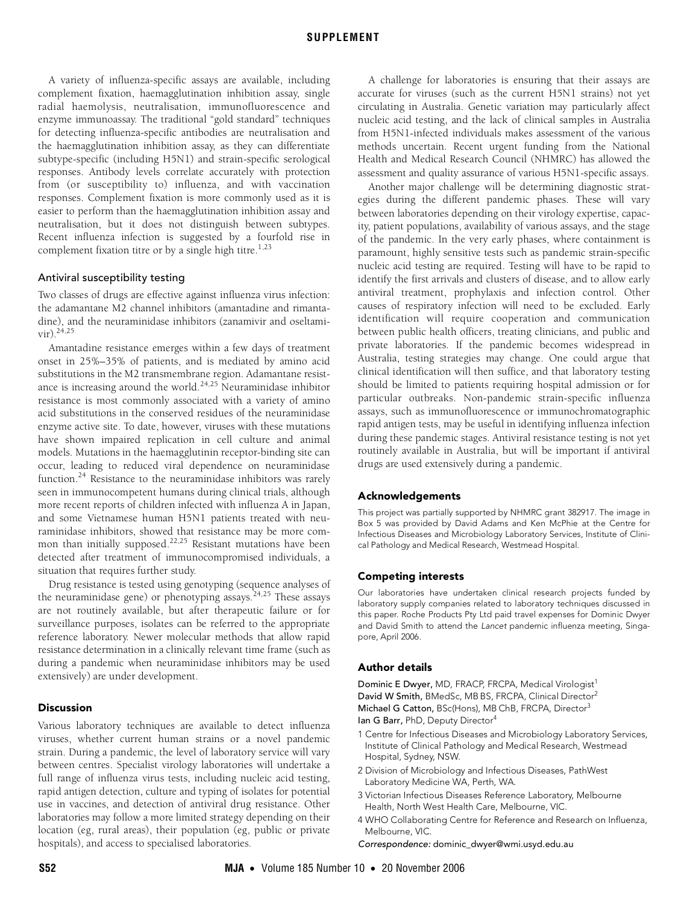A variety of influenza-specific assays are available, including complement fixation, haemagglutination inhibition assay, single radial haemolysis, neutralisation, immunofluorescence and enzyme immunoassay. The traditional "gold standard" techniques for detecting influenza-specific antibodies are neutralisation and the haemagglutination inhibition assay, as they can differentiate subtype-specific (including H5N1) and strain-specific serological responses. Antibody levels correlate accurately with protection from (or susceptibility to) influenza, and with vaccination responses. Complement fixation is more commonly used as it is easier to perform than the haemagglutination inhibition assay and neutralisation, but it does not distinguish between subtypes. Recent influenza infection is suggested by a fourfold rise in complement fixation titre or by a single high titre.<sup>1,[23](#page-5-22)</sup>

## Antiviral susceptibility testing

Two classes of drugs are effective against influenza virus infection: the adamantane M2 channel inhibitors (amantadine and rimantadine), and the neuraminidase inhibitors (zanamivir and oseltami $vir)$ <sup>[24](#page-5-23)[,25](#page-5-4)</sup>

Amantadine resistance emerges within a few days of treatment onset in 25%–35% of patients, and is mediated by amino acid substitutions in the M2 transmembrane region. Adamantane resist-ance is increasing around the world.<sup>[24,](#page-5-23)[25](#page-5-4)</sup> Neuraminidase inhibitor resistance is most commonly associated with a variety of amino acid substitutions in the conserved residues of the neuraminidase enzyme active site. To date, however, viruses with these mutations have shown impaired replication in cell culture and animal models. Mutations in the haemagglutinin receptor-binding site can occur, leading to reduced viral dependence on neuraminidase function[.24](#page-5-23) Resistance to the neuraminidase inhibitors was rarely seen in immunocompetent humans during clinical trials, although more recent reports of children infected with influenza A in Japan, and some Vietnamese human H5N1 patients treated with neuraminidase inhibitors, showed that resistance may be more common than initially supposed.<sup>22,25</sup> Resistant mutations have been detected after treatment of immunocompromised individuals, a situation that requires further study.

Drug resistance is tested using genotyping (sequence analyses of the neuraminidase gene) or phenotyping assays.<sup>[24](#page-5-23),25</sup> These assays are not routinely available, but after therapeutic failure or for surveillance purposes, isolates can be referred to the appropriate reference laboratory. Newer molecular methods that allow rapid resistance determination in a clinically relevant time frame (such as during a pandemic when neuraminidase inhibitors may be used extensively) are under development.

#### Discussion

Various laboratory techniques are available to detect influenza viruses, whether current human strains or a novel pandemic strain. During a pandemic, the level of laboratory service will vary between centres. Specialist virology laboratories will undertake a full range of influenza virus tests, including nucleic acid testing, rapid antigen detection, culture and typing of isolates for potential use in vaccines, and detection of antiviral drug resistance. Other laboratories may follow a more limited strategy depending on their location (eg, rural areas), their population (eg, public or private hospitals), and access to specialised laboratories.

A challenge for laboratories is ensuring that their assays are accurate for viruses (such as the current H5N1 strains) not yet circulating in Australia. Genetic variation may particularly affect nucleic acid testing, and the lack of clinical samples in Australia from H5N1-infected individuals makes assessment of the various methods uncertain. Recent urgent funding from the National Health and Medical Research Council (NHMRC) has allowed the assessment and quality assurance of various H5N1-specific assays.

Another major challenge will be determining diagnostic strategies during the different pandemic phases. These will vary between laboratories depending on their virology expertise, capacity, patient populations, availability of various assays, and the stage of the pandemic. In the very early phases, where containment is paramount, highly sensitive tests such as pandemic strain-specific nucleic acid testing are required. Testing will have to be rapid to identify the first arrivals and clusters of disease, and to allow early antiviral treatment, prophylaxis and infection control. Other causes of respiratory infection will need to be excluded. Early identification will require cooperation and communication between public health officers, treating clinicians, and public and private laboratories. If the pandemic becomes widespread in Australia, testing strategies may change. One could argue that clinical identification will then suffice, and that laboratory testing should be limited to patients requiring hospital admission or for particular outbreaks. Non-pandemic strain-specific influenza assays, such as immunofluorescence or immunochromatographic rapid antigen tests, may be useful in identifying influenza infection during these pandemic stages. Antiviral resistance testing is not yet routinely available in Australia, but will be important if antiviral drugs are used extensively during a pandemic.

#### Acknowledgements

This project was partially supported by NHMRC grant 382917. The image in Box 5 was provided by David Adams and Ken McPhie at the Centre for Infectious Diseases and Microbiology Laboratory Services, Institute of Clinical Pathology and Medical Research, Westmead Hospital.

#### Competing interests

Our laboratories have undertaken clinical research projects funded by laboratory supply companies related to laboratory techniques discussed in this paper. Roche Products Pty Ltd paid travel expenses for Dominic Dwyer and David Smith to attend the Lancet pandemic influenza meeting, Singapore, April 2006.

#### Author details

Dominic E Dwyer, MD, FRACP, FRCPA, Medical Virologist<sup>1</sup> David W Smith, BMedSc, MB BS, FRCPA, Clinical Director<sup>2</sup> Michael G Catton, BSc(Hons), MB ChB, FRCPA, Director<sup>3</sup> Ian G Barr, PhD, Deputy Director<sup>4</sup>

- 1 Centre for Infectious Diseases and Microbiology Laboratory Services, Institute of Clinical Pathology and Medical Research, Westmead Hospital, Sydney, NSW.
- 2 Division of Microbiology and Infectious Diseases, PathWest Laboratory Medicine WA, Perth, WA.
- 3 Victorian Infectious Diseases Reference Laboratory, Melbourne Health, North West Health Care, Melbourne, VIC.
- 4 WHO Collaborating Centre for Reference and Research on Influenza, Melbourne, VIC.

Correspondence: dominic\_dwyer@wmi.usyd.edu.au